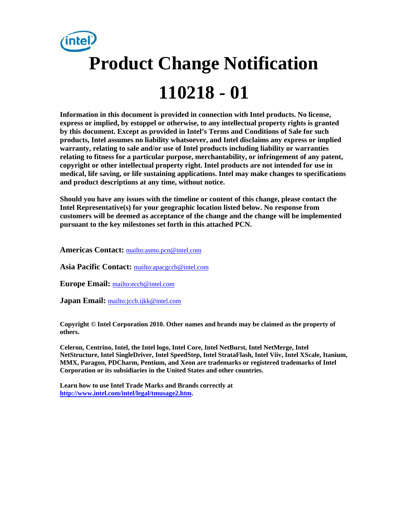

**Information in this document is provided in connection with Intel products. No license, express or implied, by estoppel or otherwise, to any intellectual property rights is granted by this document. Except as provided in Intel's Terms and Conditions of Sale for such products, Intel assumes no liability whatsoever, and Intel disclaims any express or implied warranty, relating to sale and/or use of Intel products including liability or warranties relating to fitness for a particular purpose, merchantability, or infringement of any patent, copyright or other intellectual property right. Intel products are not intended for use in medical, life saving, or life sustaining applications. Intel may make changes to specifications and product descriptions at any time, without notice.** 

**Should you have any issues with the timeline or content of this change, please contact the Intel Representative(s) for your geographic location listed below. No response from customers will be deemed as acceptance of the change and the change will be implemented pursuant to the key milestones set forth in this attached PCN.** 

**Americas Contact:** mailto:asmo.pcn@intel.com

**Asia Pacific Contact:** mailto:apacgccb@intel.com

**Europe Email:** mailto:eccb@intel.com

**Japan Email:** mailto:jccb.ijkk@intel.com

**Copyright © Intel Corporation 2010. Other names and brands may be claimed as the property of others.**

**Celeron, Centrino, Intel, the Intel logo, Intel Core, Intel NetBurst, Intel NetMerge, Intel NetStructure, Intel SingleDriver, Intel SpeedStep, Intel StrataFlash, Intel Viiv, Intel XScale, Itanium, MMX, Paragon, PDCharm, Pentium, and Xeon are trademarks or registered trademarks of Intel Corporation or its subsidiaries in the United States and other countries.** 

**Learn how to use Intel Trade Marks and Brands correctly at http://www.intel.com/intel/legal/tmusage2.htm.**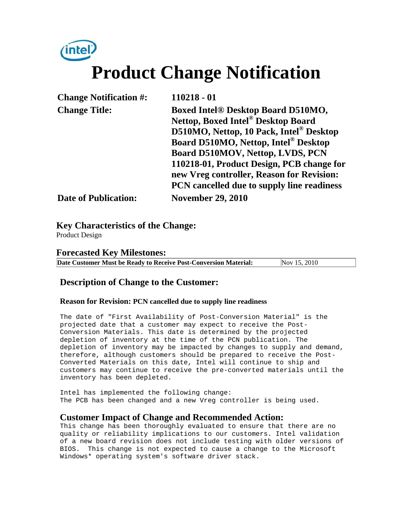# *(intel)* **Product Change Notification**

| <b>Change Notification #:</b> | 110218 - 01                                               |
|-------------------------------|-----------------------------------------------------------|
| <b>Change Title:</b>          | <b>Boxed Intel® Desktop Board D510MO,</b>                 |
|                               | Nettop, Boxed Intel <sup>®</sup> Desktop Board            |
|                               | <b>D510MO, Nettop, 10 Pack, Intel<sup>®</sup> Desktop</b> |
|                               | <b>Board D510MO, Nettop, Intel<sup>®</sup> Desktop</b>    |
|                               | Board D510MOV, Nettop, LVDS, PCN                          |
|                               | 110218-01, Product Design, PCB change for                 |
|                               | new Vreg controller, Reason for Revision:                 |
|                               | PCN cancelled due to supply line readiness                |
| <b>Date of Publication:</b>   | <b>November 29, 2010</b>                                  |

**Key Characteristics of the Change:**

Product Design

#### **Forecasted Key Milestones:**

**Date Customer Must be Ready to Receive Post-Conversion Material:** Nov 15, 2010

#### **Description of Change to the Customer:**

#### **Reason for Revision: PCN cancelled due to supply line readiness**

The date of "First Availability of Post-Conversion Material" is the projected date that a customer may expect to receive the Post-Conversion Materials. This date is determined by the projected depletion of inventory at the time of the PCN publication. The depletion of inventory may be impacted by changes to supply and demand, therefore, although customers should be prepared to receive the Post-Converted Materials on this date, Intel will continue to ship and customers may continue to receive the pre-converted materials until the inventory has been depleted.

Intel has implemented the following change: The PCB has been changed and a new Vreg controller is being used.

#### **Customer Impact of Change and Recommended Action:**

This change has been thoroughly evaluated to ensure that there are no quality or reliability implications to our customers. Intel validation of a new board revision does not include testing with older versions of BIOS. This change is not expected to cause a change to the Microsoft Windows\* operating system's software driver stack.